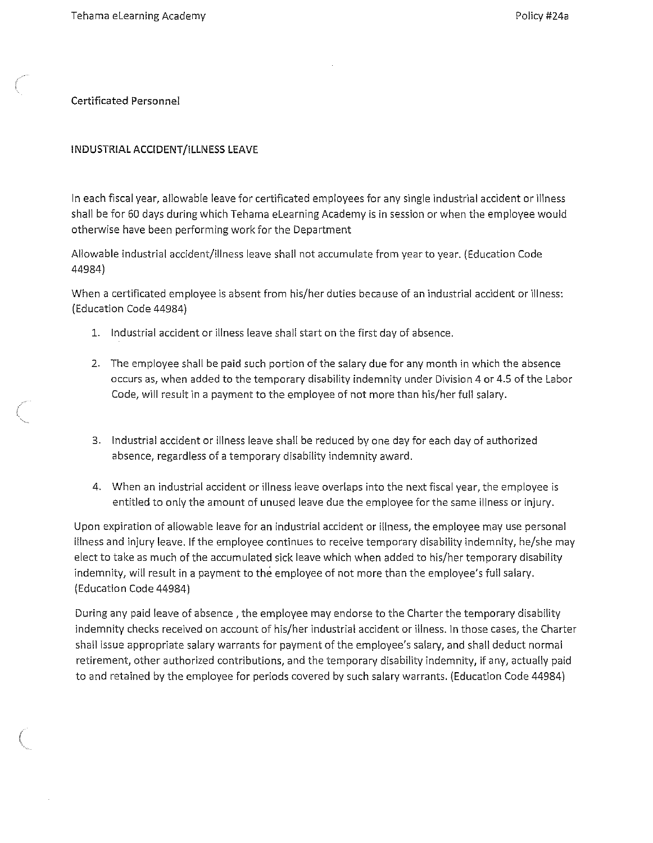Certificated Personnel

# INDUSTRIAL ACCIDENT/ILLNESS LEAVE

In each fiscal year, allowable leave for certificated employees for any single industrial accident or illness shall be for 60 days during which Tehama elearning Academy is in session or when the employee would otherwise have been performing work for the Department

Allowable industrial accident/illness leave shall not accumulate from year to year. (Education Code 44984)

When a certificated employee is absent from his/her duties because of an industrial accident or illness: (Education Code 44984)

- 1. Industrial accident or illness leave shall start on the first day of absence.
- 2. The employee shall be paid such portion of the salary due for any month in which the absence occurs as, when added to the temporary disability indemnity under Division 4 or 4.5 of the Labor Code, will result in a payment to the employee of not more than his/her full salary.
- 3. Industrial accident or illness leave shall be reduced by one day for each day of authorized absence, regardless of a temporary disability indemnity award.
- 4. When an industrial accident or illness leave overlaps into the next fiscal year, the employee is entitled to only the amount of unused leave due the employee for the same illness or injury.

Upon expiration of allowable leave for an industrial accident or illness, the employee may use personal illness and injury leave. If the employee continues to receive temporary disability indemnity, he/she may elect to take as much of the accumulated sick leave which when added to his/her temporary disability indemnity, will result in a payment to the employee of not more than the employee's full salary. (Education Code 44984)

During any paid leave of absence, the employee may endorse to the Charter the temporary disability indemnity checks received on account of his/her industrial accident or illness. In those cases, the Charter shall issue appropriate salary warrants for payment of the employee's salary, and shall deduct normal retirement, other authorized contributions, and the temporary disability indemnity, if any, actually paid to and retained by the employee for periods covered by such salary warrants. (Education Code 44984)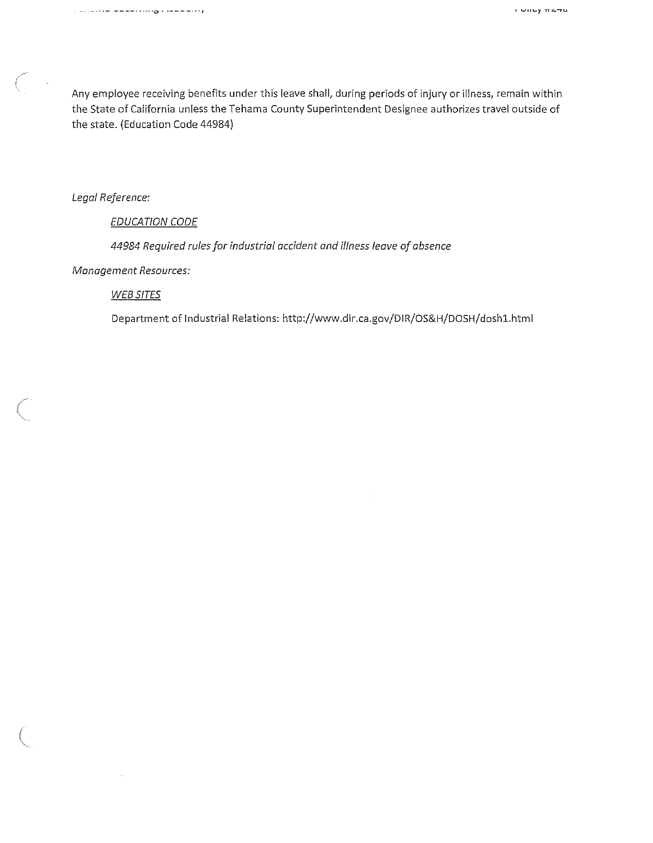Any employee receiving benefits under this leave shall, during periods of injury or illness, remain within the State of California unless the Tehama County Superintendent Designee authorizes travel outside of the state. (Education Code 44984)

Legal Reference:

#### **EDUCATION CODE**

44984 Required rules for industrial accident and illness leave of absence

Management Resources:

 $\sim$ 

## **WEB SITES**

Department of Industrial Relations: http://www.dir.ca.gov/DIR/OS&H/DOSH/dosh1.html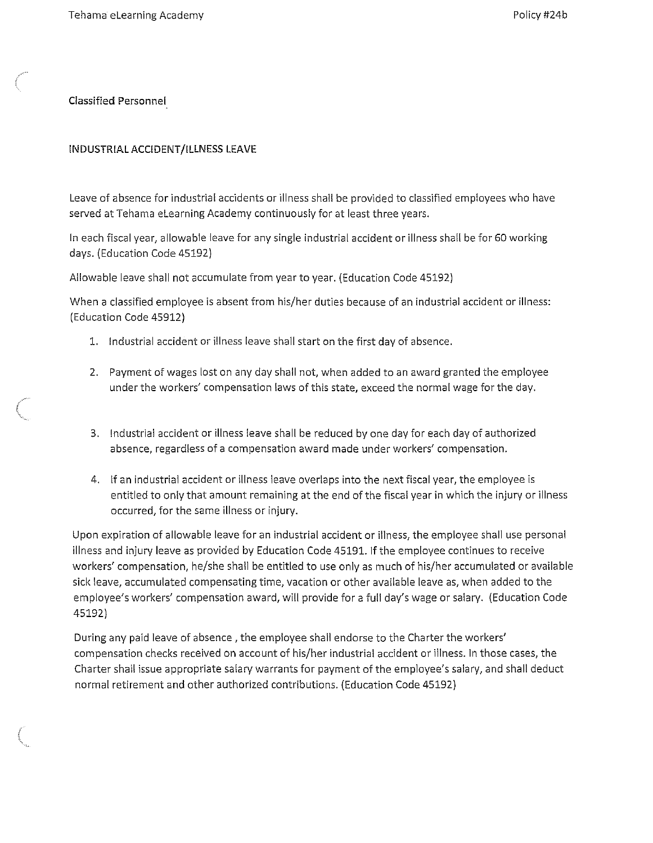Classified Personnel

## INDUSTRIAL ACCIDENT/ILLNESS LEAVE

Leave of absence for industrial accidents or illness shall be provided to classified employees who have served at Tehama elearning Academy continuously for at least three years.

In each fiscal year, allowable leave for any single industrial accident or illness shall be for 60 working days. (Education Code 45192)

Allowable leave shall not accumulate from year to year. (Education Code 45192)

When a classified employee is absent from his/her duties because of an industrial accident or illness: (Education Code 45912)

- 1. Industrial accident or illness leave shall start on the first day of absence.
- 2. Payment of wages lost on any day shall not, when added to an award granted the employee under the workers' compensation laws of this state, exceed the normal wage for the day.
- 3. Industrial accident or illness leave shall be reduced by one day for each day of authorized absence, regardless of a compensation award made under workers' compensation.
- 4. If an industrial accident or illness leave overlaps into the next fiscal year, the employee is entitled to only that amount remaining at the end of the fiscal year in which the injury or illness occurred, for the same illness or injury.

Upon expiration of allowable leave for an industrial accident or illness, the employee shall use personal illness and injury leave as provided by Education Code 45191. If the employee continues to receive workers' compensation, he/she shall be entitled to use only as much of his/her accumulated or available sick leave, accumulated compensating time, vacation or other available leave as, when added to the employee's workers' compensation award, will provide for a full day's wage or salary. (Education Code 45192)

During any paid leave of absence, the employee shall endorse to the Charter the workers' compensation checks received on account of his/her industrial accident or illness. In those cases, the Charter shall issue appropriate salary warrants for payment of the employee's salary, and shall deduct normal retirement and other authorized contributions. (Education Code 45192)